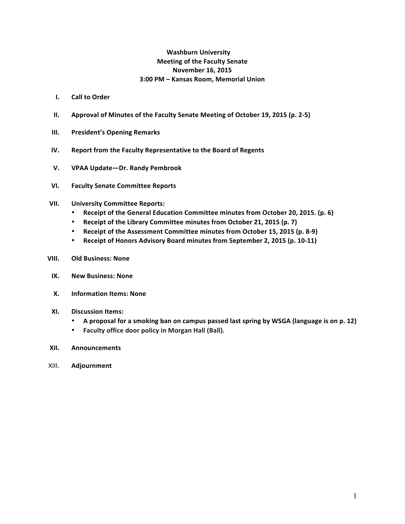# **Washburn University Meeting of the Faculty Senate November 16, 2015 3:00 PM – Kansas Room, Memorial Union**

- **I.** Call to Order
- **II.** Approval of Minutes of the Faculty Senate Meeting of October 19, 2015 (p. 2-5)
- **III.** President's Opening Remarks
- **IV.** Report from the Faculty Representative to the Board of Regents
- **V. VPAA Update—Dr. Randy Pembrook**
- **VI. Faculty Senate Committee Reports**
- **VII. University Committee Reports:**
	- Receipt of the General Education Committee minutes from October 20, 2015. (p. 6)
	- Receipt of the Library Committee minutes from October 21, 2015 (p. 7)
	- Receipt of the Assessment Committee minutes from October 15, 2015 (p. 8-9)
	- Receipt of Honors Advisory Board minutes from September 2, 2015 (p. 10-11)
- **VIII. Old Business: None**
- **IX. New Business: None**
- **X. Information Items: None**
- **XI. Discussion Items:**
	- A proposal for a smoking ban on campus passed last spring by WSGA (language is on p. 12)
	- **Faculty office door policy in Morgan Hall (Ball).**
- **XII. Announcements**
- XIII. **Adjournment**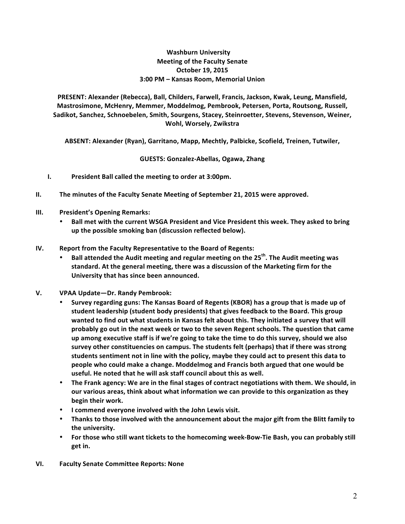# **Washburn University Meeting of the Faculty Senate October 19, 2015 3:00 PM – Kansas Room, Memorial Union**

**PRESENT: Alexander (Rebecca), Ball, Childers, Farwell, Francis, Jackson, Kwak, Leung, Mansfield,** Mastrosimone, McHenry, Memmer, Moddelmog, Pembrook, Petersen, Porta, Routsong, Russell, Sadikot, Sanchez, Schnoebelen, Smith, Sourgens, Stacey, Steinroetter, Stevens, Stevenson, Weiner, **Wohl, Worsely, Zwikstra**

ABSENT: Alexander (Ryan), Garritano, Mapp, Mechtly, Palbicke, Scofield, Treinen, Tutwiler,

**GUESTS: Gonzalez-Abellas, Ogawa, Zhang**

- **I.** President Ball called the meeting to order at 3:00pm.
- **II.** The minutes of the Faculty Senate Meeting of September 21, 2015 were approved.
- **III.** President's Opening Remarks:
	- Ball met with the current WSGA President and Vice President this week. They asked to bring up the possible smoking ban (discussion reflected below).
- **IV.** Report from the Faculty Representative to the Board of Regents:
	- **Ball attended the Audit meeting and regular meeting on the 25<sup>th</sup>. The Audit meeting was** standard. At the general meeting, there was a discussion of the Marketing firm for the University that has since been announced.
- **V. VPAA Update—Dr. Randy Pembrook:**
	- Survey regarding guns: The Kansas Board of Regents (KBOR) has a group that is made up of student leadership (student body presidents) that gives feedback to the Board. This group wanted to find out what students in Kansas felt about this. They initiated a survey that will probably go out in the next week or two to the seven Regent schools. The question that came up among executive staff is if we're going to take the time to do this survey, should we also survey other constituencies on campus. The students felt (perhaps) that if there was strong students sentiment not in line with the policy, maybe they could act to present this data to people who could make a change. Moddelmog and Francis both argued that one would be useful. He noted that he will ask staff council about this as well.
	- The Frank agency: We are in the final stages of contract negotiations with them. We should, in our various areas, think about what information we can provide to this organization as they **begin their work.**
	- **•** I commend everyone involved with the John Lewis visit.
	- Thanks to those involved with the announcement about the major gift from the Blitt family to the university.
	- For those who still want tickets to the homecoming week-Bow-Tie Bash, you can probably still **get in.**
- **VI. Faculty Senate Committee Reports: None**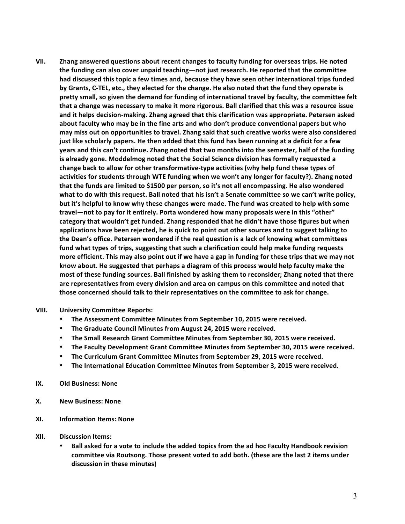VII. Zhang answered questions about recent changes to faculty funding for overseas trips. He noted the funding can also cover unpaid teaching—not just research. He reported that the committee had discussed this topic a few times and, because they have seen other international trips funded by Grants, C-TEL, etc., they elected for the change. He also noted that the fund they operate is pretty small, so given the demand for funding of international travel by faculty, the committee felt that a change was necessary to make it more rigorous. Ball clarified that this was a resource issue and it helps decision-making. Zhang agreed that this clarification was appropriate. Petersen asked about faculty who may be in the fine arts and who don't produce conventional papers but who may miss out on opportunities to travel. Zhang said that such creative works were also considered just like scholarly papers. He then added that this fund has been running at a deficit for a few **years and this can't continue. Zhang noted that two months into the semester, half of the funding** is already gone. Moddelmog noted that the Social Science division has formally requested a change back to allow for other transformative-type activities (why help fund these types of activities for students through WTE funding when we won't any longer for faculty?). Zhang noted that the funds are limited to \$1500 per person, so it's not all encompassing. He also wondered what to do with this request. Ball noted that his isn't a Senate committee so we can't write policy, but it's helpful to know why these changes were made. The fund was created to help with some travel—not to pay for it entirely. Porta wondered how many proposals were in this "other" category that wouldn't get funded. Zhang responded that he didn't have those figures but when applications have been rejected, he is quick to point out other sources and to suggest talking to the Dean's office. Petersen wondered if the real question is a lack of knowing what committees fund what types of trips, suggesting that such a clarification could help make funding requests more efficient. This may also point out if we have a gap in funding for these trips that we may not know about. He suggested that perhaps a diagram of this process would help faculty make the most of these funding sources. Ball finished by asking them to reconsider; Zhang noted that there are representatives from every division and area on campus on this committee and noted that those concerned should talk to their representatives on the committee to ask for change.

### **VIII. University Committee Reports:**

- The Assessment Committee Minutes from September 10, 2015 were received.
- The Graduate Council Minutes from August 24, 2015 were received.
- The Small Research Grant Committee Minutes from September 30, 2015 were received.
- The Faculty Development Grant Committee Minutes from September 30, 2015 were received.
- The Curriculum Grant Committee Minutes from September 29, 2015 were received.
- The International Education Committee Minutes from September 3, 2015 were received.
- **IX.** Old Business: None
- **X. New Business: None**
- **XI. Information Items: None**
- **XII. Discussion Items:**
	- Ball asked for a vote to include the added topics from the ad hoc Faculty Handbook revision **committee via Routsong. Those present voted to add both. (these are the last 2 items under discussion in these minutes)**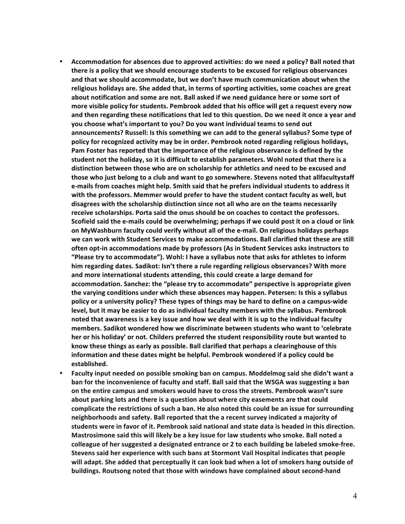- Accommodation for absences due to approved activities: do we need a policy? Ball noted that there is a policy that we should encourage students to be excused for religious observances and that we should accommodate, but we don't have much communication about when the religious holidays are. She added that, in terms of sporting activities, some coaches are great about notification and some are not. Ball asked if we need guidance here or some sort of more visible policy for students. Pembrook added that his office will get a request every now and then regarding these notifications that led to this question. Do we need it once a year and **you choose what's important to you? Do you want individual teams to send out** announcements? Russell: Is this something we can add to the general syllabus? Some type of policy for recognized activity may be in order. Pembrook noted regarding religious holidays, Pam Foster has reported that the importance of the religious observance is defined by the student not the holiday, so it is difficult to establish parameters. Wohl noted that there is a distinction between those who are on scholarship for athletics and need to be excused and those who just belong to a club and want to go somewhere. Stevens noted that allfacultystaff e-mails from coaches might help. Smith said that he prefers individual students to address it with the professors. Memmer would prefer to have the student contact faculty as well, but disagrees with the scholarship distinction since not all who are on the teams necessarily receive scholarships. Porta said the onus should be on coaches to contact the professors. Scofield said the e-mails could be overwhelming; perhaps if we could post it on a cloud or link on MyWashburn faculty could verify without all of the e-mail. On religious holidays perhaps we can work with Student Services to make accommodations. Ball clarified that these are still often opt-in accommodations made by professors (As in Student Services asks instructors to **"Please try to accommodate"). Wohl: I have a syllabus note that asks for athletes to inform** him regarding dates. Sadikot: Isn't there a rule regarding religious observances? With more and more international students attending, this could create a large demand for accommodation. Sanchez: the "please try to accommodate" perspective is appropriate given the varying conditions under which these absences may happen. Petersen: Is this a syllabus policy or a university policy? These types of things may be hard to define on a campus-wide level, but it may be easier to do as individual faculty members with the syllabus. Pembrook noted that awareness is a key issue and how we deal with it is up to the individual faculty members. Sadikot wondered how we discriminate between students who want to 'celebrate her or his holiday' or not. Childers preferred the student responsibility route but wanted to know these things as early as possible. Ball clarified that perhaps a clearinghouse of this information and these dates might be helpful. Pembrook wondered if a policy could be **established.**
- Faculty input needed on possible smoking ban on campus. Moddelmog said she didn't want a ban for the inconvenience of faculty and staff. Ball said that the WSGA was suggesting a ban on the entire campus and smokers would have to cross the streets. Pembrook wasn't sure about parking lots and there is a question about where city easements are that could complicate the restrictions of such a ban. He also noted this could be an issue for surrounding neighborhoods and safety. Ball reported that the a recent survey indicated a majority of students were in favor of it. Pembrook said national and state data is headed in this direction. Mastrosimone said this will likely be a key issue for law students who smoke. Ball noted a colleague of her suggested a designated entrance or 2 to each building be labeled smoke-free. Stevens said her experience with such bans at Stormont Vail Hospital indicates that people will adapt. She added that perceptually it can look bad when a lot of smokers hang outside of buildings. Routsong noted that those with windows have complained about second-hand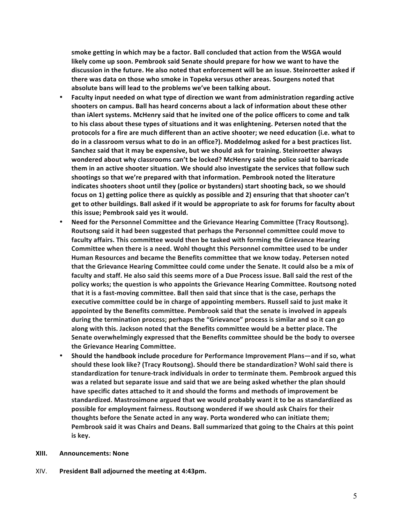smoke getting in which may be a factor. Ball concluded that action from the WSGA would likely come up soon. Pembrook said Senate should prepare for how we want to have the discussion in the future. He also noted that enforcement will be an issue. Steinroetter asked if there was data on those who smoke in Topeka versus other areas. Sourgens noted that absolute bans will lead to the problems we've been talking about.

- Faculty input needed on what type of direction we want from administration regarding active shooters on campus. Ball has heard concerns about a lack of information about these other than iAlert systems. McHenry said that he invited one of the police officers to come and talk to his class about these types of situations and it was enlightening. Petersen noted that the protocols for a fire are much different than an active shooter; we need education (i.e. what to do in a classroom versus what to do in an office?). Moddelmog asked for a best practices list. Sanchez said that it may be expensive, but we should ask for training. Steinroetter always wondered about why classrooms can't be locked? McHenry said the police said to barricade them in an active shooter situation. We should also investigate the services that follow such shootings so that we're prepared with that information. Pembrook noted the literature indicates shooters shoot until they (police or bystanders) start shooting back, so we should focus on 1) getting police there as quickly as possible and 2) ensuring that that shooter can't get to other buildings. Ball asked if it would be appropriate to ask for forums for faculty about this issue; Pembrook said yes it would.
- Need for the Personnel Committee and the Grievance Hearing Committee (Tracy Routsong). Routsong said it had been suggested that perhaps the Personnel committee could move to faculty affairs. This committee would then be tasked with forming the Grievance Hearing Committee when there is a need. Wohl thought this Personnel committee used to be under Human Resources and became the Benefits committee that we know today. Petersen noted that the Grievance Hearing Committee could come under the Senate. It could also be a mix of faculty and staff. He also said this seems more of a Due Process issue. Ball said the rest of the policy works; the question is who appoints the Grievance Hearing Committee. Routsong noted that it is a fast-moving committee. Ball then said that since that is the case, perhaps the executive committee could be in charge of appointing members. Russell said to just make it appointed by the Benefits committee. Pembrook said that the senate is involved in appeals during the termination process; perhaps the "Grievance" process is similar and so it can go along with this. Jackson noted that the Benefits committee would be a better place. The Senate overwhelmingly expressed that the Benefits committee should be the body to oversee **the Grievance Hearing Committee.**
- Should the handbook include procedure for Performance Improvement Plans—and if so, what should these look like? (Tracy Routsong). Should there be standardization? Wohl said there is standardization for tenure-track individuals in order to terminate them. Pembrook argued this was a related but separate issue and said that we are being asked whether the plan should have specific dates attached to it and should the forms and methods of improvement be standardized. Mastrosimone argued that we would probably want it to be as standardized as possible for employment fairness. Routsong wondered if we should ask Chairs for their thoughts before the Senate acted in any way. Porta wondered who can initiate them; Pembrook said it was Chairs and Deans. Ball summarized that going to the Chairs at this point is key.
- **XIII. Announcements: None**
- XIV. President Ball adjourned the meeting at 4:43pm.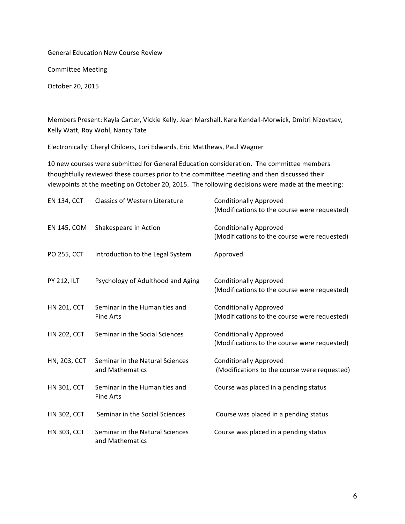General Education New Course Review

Committee Meeting

October 20, 2015

Members Present: Kayla Carter, Vickie Kelly, Jean Marshall, Kara Kendall-Morwick, Dmitri Nizovtsev, Kelly Watt, Roy Wohl, Nancy Tate

Electronically: Cheryl Childers, Lori Edwards, Eric Matthews, Paul Wagner

10 new courses were submitted for General Education consideration. The committee members thoughtfully reviewed these courses prior to the committee meeting and then discussed their viewpoints at the meeting on October 20, 2015. The following decisions were made at the meeting:

| <b>EN 134, CCT</b>  | <b>Classics of Western Literature</b>              | <b>Conditionally Approved</b><br>(Modifications to the course were requested) |
|---------------------|----------------------------------------------------|-------------------------------------------------------------------------------|
| EN 145, COM         | Shakespeare in Action                              | <b>Conditionally Approved</b><br>(Modifications to the course were requested) |
| PO 255, CCT         | Introduction to the Legal System                   | Approved                                                                      |
| <b>PY 212, ILT</b>  | Psychology of Adulthood and Aging                  | <b>Conditionally Approved</b><br>(Modifications to the course were requested) |
| <b>HN 201, CCT</b>  | Seminar in the Humanities and<br><b>Fine Arts</b>  | <b>Conditionally Approved</b><br>(Modifications to the course were requested) |
| <b>HN 202, CCT</b>  | Seminar in the Social Sciences                     | <b>Conditionally Approved</b><br>(Modifications to the course were requested) |
| <b>HN, 203, CCT</b> | Seminar in the Natural Sciences<br>and Mathematics | <b>Conditionally Approved</b><br>(Modifications to the course were requested) |
| <b>HN 301, CCT</b>  | Seminar in the Humanities and<br><b>Fine Arts</b>  | Course was placed in a pending status                                         |
| <b>HN 302, CCT</b>  | Seminar in the Social Sciences                     | Course was placed in a pending status                                         |
| <b>HN 303, CCT</b>  | Seminar in the Natural Sciences<br>and Mathematics | Course was placed in a pending status                                         |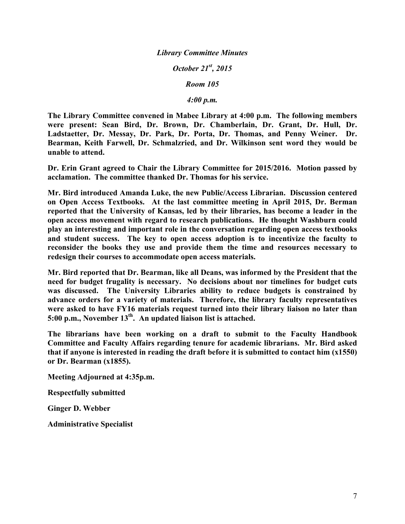# *Library Committee Minutes*

*October 21st, 2015*

*Room 105*

*4:00 p.m.*

**The Library Committee convened in Mabee Library at 4:00 p.m. The following members were present: Sean Bird, Dr. Brown, Dr. Chamberlain, Dr. Grant, Dr. Hull, Dr. Ladstaetter, Dr. Messay, Dr. Park, Dr. Porta, Dr. Thomas, and Penny Weiner. Dr. Bearman, Keith Farwell, Dr. Schmalzried, and Dr. Wilkinson sent word they would be unable to attend.**

**Dr. Erin Grant agreed to Chair the Library Committee for 2015/2016. Motion passed by acclamation. The committee thanked Dr. Thomas for his service.**

**Mr. Bird introduced Amanda Luke, the new Public/Access Librarian. Discussion centered on Open Access Textbooks. At the last committee meeting in April 2015, Dr. Berman reported that the University of Kansas, led by their libraries, has become a leader in the open access movement with regard to research publications. He thought Washburn could play an interesting and important role in the conversation regarding open access textbooks and student success. The key to open access adoption is to incentivize the faculty to reconsider the books they use and provide them the time and resources necessary to redesign their courses to accommodate open access materials.** 

**Mr. Bird reported that Dr. Bearman, like all Deans, was informed by the President that the need for budget frugality is necessary. No decisions about nor timelines for budget cuts was discussed. The University Libraries ability to reduce budgets is constrained by advance orders for a variety of materials. Therefore, the library faculty representatives were asked to have FY16 materials request turned into their library liaison no later than 5:00 p.m., November 13th. An updated liaison list is attached.**

**The librarians have been working on a draft to submit to the Faculty Handbook Committee and Faculty Affairs regarding tenure for academic librarians. Mr. Bird asked that if anyone is interested in reading the draft before it is submitted to contact him (x1550) or Dr. Bearman (x1855).**

**Meeting Adjourned at 4:35p.m.**

**Respectfully submitted**

**Ginger D. Webber**

**Administrative Specialist**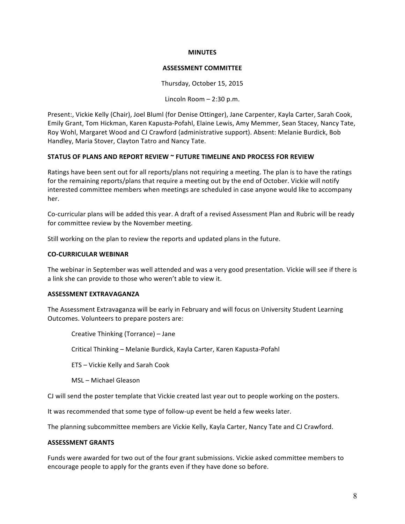### **MINUTES**

#### **ASSESSMENT COMMITTEE**

Thursday, October 15, 2015

Lincoln Room  $- 2:30$  p.m.

Present:, Vickie Kelly (Chair), Joel Bluml (for Denise Ottinger), Jane Carpenter, Kayla Carter, Sarah Cook, Emily Grant, Tom Hickman, Karen Kapusta-Pofahl, Elaine Lewis, Amy Memmer, Sean Stacey, Nancy Tate, Roy Wohl, Margaret Wood and CJ Crawford (administrative support). Absent: Melanie Burdick, Bob Handley, Maria Stover, Clayton Tatro and Nancy Tate.

## **STATUS OF PLANS AND REPORT REVIEW ~ FUTURE TIMELINE AND PROCESS FOR REVIEW**

Ratings have been sent out for all reports/plans not requiring a meeting. The plan is to have the ratings for the remaining reports/plans that require a meeting out by the end of October. Vickie will notify interested committee members when meetings are scheduled in case anyone would like to accompany her.

Co-curricular plans will be added this year. A draft of a revised Assessment Plan and Rubric will be ready for committee review by the November meeting.

Still working on the plan to review the reports and updated plans in the future.

## **CO-CURRICULAR WEBINAR**

The webinar in September was well attended and was a very good presentation. Vickie will see if there is a link she can provide to those who weren't able to view it.

### **ASSESSMENT EXTRAVAGANZA**

The Assessment Extravaganza will be early in February and will focus on University Student Learning Outcomes. Volunteers to prepare posters are:

Creative Thinking (Torrance) - Jane

Critical Thinking - Melanie Burdick, Kayla Carter, Karen Kapusta-Pofahl

ETS – Vickie Kelly and Sarah Cook

MSL – Michael Gleason

CJ will send the poster template that Vickie created last year out to people working on the posters.

It was recommended that some type of follow-up event be held a few weeks later.

The planning subcommittee members are Vickie Kelly, Kayla Carter, Nancy Tate and CJ Crawford.

### **ASSESSMENT GRANTS**

Funds were awarded for two out of the four grant submissions. Vickie asked committee members to encourage people to apply for the grants even if they have done so before.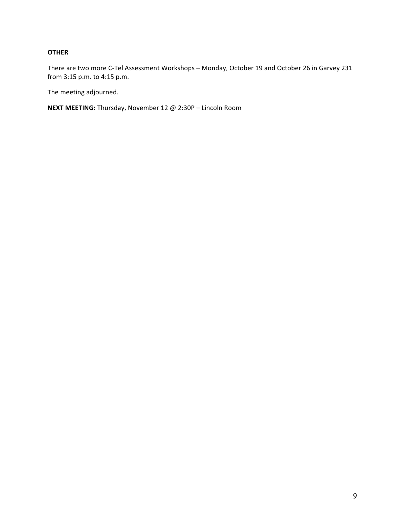# **OTHER**

There are two more C-Tel Assessment Workshops - Monday, October 19 and October 26 in Garvey 231 from 3:15 p.m. to 4:15 p.m.

The meeting adjourned.

**NEXT MEETING:** Thursday, November 12 @ 2:30P - Lincoln Room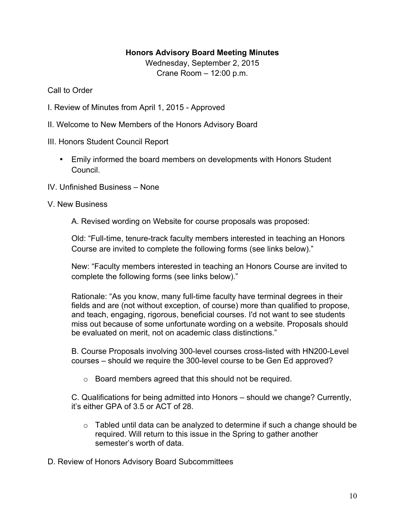# **Honors Advisory Board Meeting Minutes**

Wednesday, September 2, 2015 Crane Room – 12:00 p.m.

# Call to Order

- I. Review of Minutes from April 1, 2015 Approved
- II. Welcome to New Members of the Honors Advisory Board
- III. Honors Student Council Report
	- Emily informed the board members on developments with Honors Student Council.
- IV. Unfinished Business None
- V. New Business

A. Revised wording on Website for course proposals was proposed:

Old: "Full-time, tenure-track faculty members interested in teaching an Honors Course are invited to complete the following forms (see links below)."

New: "Faculty members interested in teaching an Honors Course are invited to complete the following forms (see links below)."

Rationale: "As you know, many full-time faculty have terminal degrees in their fields and are (not without exception, of course) more than qualified to propose, and teach, engaging, rigorous, beneficial courses. I'd not want to see students miss out because of some unfortunate wording on a website. Proposals should be evaluated on merit, not on academic class distinctions."

B. Course Proposals involving 300-level courses cross-listed with HN200-Level courses – should we require the 300-level course to be Gen Ed approved?

o Board members agreed that this should not be required.

C. Qualifications for being admitted into Honors – should we change? Currently, it's either GPA of 3.5 or ACT of 28.

- $\circ$  Tabled until data can be analyzed to determine if such a change should be required. Will return to this issue in the Spring to gather another semester's worth of data.
- D. Review of Honors Advisory Board Subcommittees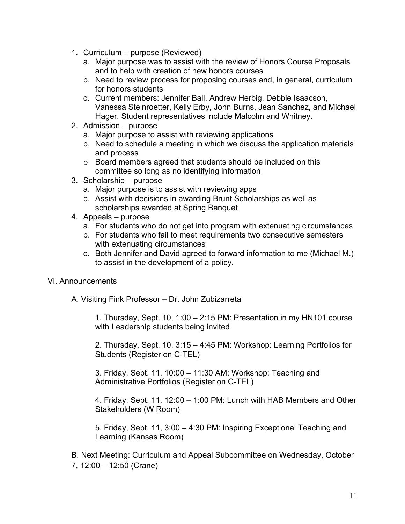- 1. Curriculum purpose (Reviewed)
	- a. Major purpose was to assist with the review of Honors Course Proposals and to help with creation of new honors courses
	- b. Need to review process for proposing courses and, in general, curriculum for honors students
	- c. Current members: Jennifer Ball, Andrew Herbig, Debbie Isaacson, Vanessa Steinroetter, Kelly Erby, John Burns, Jean Sanchez, and Michael Hager. Student representatives include Malcolm and Whitney.
- 2. Admission purpose
	- a. Major purpose to assist with reviewing applications
	- b. Need to schedule a meeting in which we discuss the application materials and process
	- o Board members agreed that students should be included on this committee so long as no identifying information
- 3. Scholarship purpose
	- a. Major purpose is to assist with reviewing apps
	- b. Assist with decisions in awarding Brunt Scholarships as well as scholarships awarded at Spring Banquet
- 4. Appeals purpose
	- a. For students who do not get into program with extenuating circumstances
	- b. For students who fail to meet requirements two consecutive semesters with extenuating circumstances
	- c. Both Jennifer and David agreed to forward information to me (Michael M.) to assist in the development of a policy.

# VI. Announcements

A. Visiting Fink Professor – Dr. John Zubizarreta

1. Thursday, Sept. 10, 1:00 – 2:15 PM: Presentation in my HN101 course with Leadership students being invited

2. Thursday, Sept. 10, 3:15 – 4:45 PM: Workshop: Learning Portfolios for Students (Register on C-TEL)

3. Friday, Sept. 11, 10:00 – 11:30 AM: Workshop: Teaching and Administrative Portfolios (Register on C-TEL)

4. Friday, Sept. 11, 12:00 – 1:00 PM: Lunch with HAB Members and Other Stakeholders (W Room)

5. Friday, Sept. 11, 3:00 – 4:30 PM: Inspiring Exceptional Teaching and Learning (Kansas Room)

B. Next Meeting: Curriculum and Appeal Subcommittee on Wednesday, October 7, 12:00 – 12:50 (Crane)